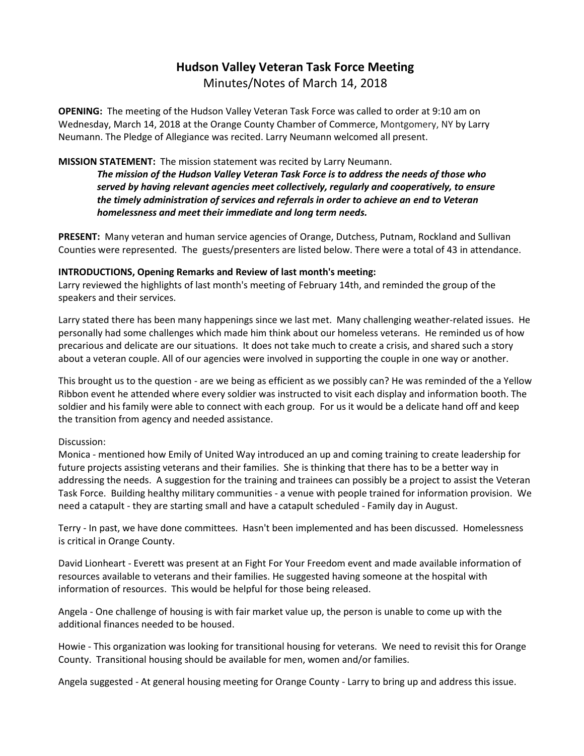# **Hudson Valley Veteran Task Force Meeting**  Minutes/Notes of March 14, 2018

**OPENING:** The meeting of the Hudson Valley Veteran Task Force was called to order at 9:10 am on Wednesday, March 14, 2018 at the Orange County Chamber of Commerce, Montgomery, NY by Larry Neumann. The Pledge of Allegiance was recited. Larry Neumann welcomed all present.

## **MISSION STATEMENT:** The mission statement was recited by Larry Neumann.

*The mission of the Hudson Valley Veteran Task Force is to address the needs of those who served by having relevant agencies meet collectively, regularly and cooperatively, to ensure the timely administration of services and referrals in order to achieve an end to Veteran homelessness and meet their immediate and long term needs.* 

**PRESENT:** Many veteran and human service agencies of Orange, Dutchess, Putnam, Rockland and Sullivan Counties were represented. The guests/presenters are listed below. There were a total of 43 in attendance.

#### **INTRODUCTIONS, Opening Remarks and Review of last month's meeting:**

Larry reviewed the highlights of last month's meeting of February 14th, and reminded the group of the speakers and their services.

Larry stated there has been many happenings since we last met. Many challenging weather-related issues. He personally had some challenges which made him think about our homeless veterans. He reminded us of how precarious and delicate are our situations. It does not take much to create a crisis, and shared such a story about a veteran couple. All of our agencies were involved in supporting the couple in one way or another.

This brought us to the question - are we being as efficient as we possibly can? He was reminded of the a Yellow Ribbon event he attended where every soldier was instructed to visit each display and information booth. The soldier and his family were able to connect with each group. For us it would be a delicate hand off and keep the transition from agency and needed assistance.

#### Discussion:

Monica - mentioned how Emily of United Way introduced an up and coming training to create leadership for future projects assisting veterans and their families. She is thinking that there has to be a better way in addressing the needs. A suggestion for the training and trainees can possibly be a project to assist the Veteran Task Force. Building healthy military communities - a venue with people trained for information provision. We need a catapult - they are starting small and have a catapult scheduled - Family day in August.

Terry - In past, we have done committees. Hasn't been implemented and has been discussed. Homelessness is critical in Orange County.

David Lionheart - Everett was present at an Fight For Your Freedom event and made available information of resources available to veterans and their families. He suggested having someone at the hospital with information of resources. This would be helpful for those being released.

Angela - One challenge of housing is with fair market value up, the person is unable to come up with the additional finances needed to be housed.

Howie - This organization was looking for transitional housing for veterans. We need to revisit this for Orange County. Transitional housing should be available for men, women and/or families.

Angela suggested - At general housing meeting for Orange County - Larry to bring up and address this issue.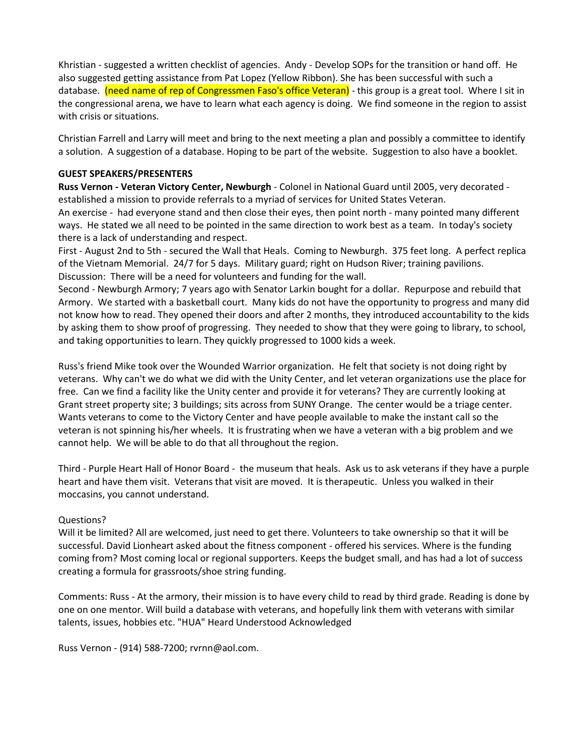Khristian - suggested a written checklist of agencies. Andy - Develop SOPs for the transition or hand off. He also suggested getting assistance from Pat Lopez (Yellow Ribbon). She has been successful with such a database. (need name of rep of Congressmen Faso's office Veteran) - this group is a great tool. Where I sit in the congressional arena, we have to learn what each agency is doing. We find someone in the region to assist with crisis or situations.

Christian Farrell and Larry will meet and bring to the next meeting a plan and possibly a committee to identify a solution. A suggestion of a database. Hoping to be part of the website. Suggestion to also have a booklet.

#### **GUEST SPEAKERS/PRESENTERS**

**Russ Vernon - Veteran Victory Center, Newburgh** - Colonel in National Guard until 2005, very decorated established a mission to provide referrals to a myriad of services for United States Veteran.

An exercise - had everyone stand and then close their eyes, then point north - many pointed many different ways. He stated we all need to be pointed in the same direction to work best as a team. In today's society there is a lack of understanding and respect.

First - August 2nd to 5th - secured the Wall that Heals. Coming to Newburgh. 375 feet long. A perfect replica of the Vietnam Memorial. 24/7 for 5 days. Military guard; right on Hudson River; training pavilions. Discussion: There will be a need for volunteers and funding for the wall.

Second - Newburgh Armory; 7 years ago with Senator Larkin bought for a dollar. Repurpose and rebuild that Armory. We started with a basketball court. Many kids do not have the opportunity to progress and many did not know how to read. They opened their doors and after 2 months, they introduced accountability to the kids by asking them to show proof of progressing. They needed to show that they were going to library, to school, and taking opportunities to learn. They quickly progressed to 1000 kids a week.

Russ's friend Mike took over the Wounded Warrior organization. He felt that society is not doing right by veterans. Why can't we do what we did with the Unity Center, and let veteran organizations use the place for free. Can we find a facility like the Unity center and provide it for veterans? They are currently looking at Grant street property site; 3 buildings; sits across from SUNY Orange. The center would be a triage center. Wants veterans to come to the Victory Center and have people available to make the instant call so the veteran is not spinning his/her wheels. It is frustrating when we have a veteran with a big problem and we cannot help. We will be able to do that all throughout the region.

Third - Purple Heart Hall of Honor Board - the museum that heals. Ask us to ask veterans if they have a purple heart and have them visit. Veterans that visit are moved. It is therapeutic. Unless you walked in their moccasins, you cannot understand.

#### Questions?

Will it be limited? All are welcomed, just need to get there. Volunteers to take ownership so that it will be successful. David Lionheart asked about the fitness component - offered his services. Where is the funding coming from? Most coming local or regional supporters. Keeps the budget small, and has had a lot of success creating a formula for grassroots/shoe string funding.

Comments: Russ - At the armory, their mission is to have every child to read by third grade. Reading is done by one on one mentor. Will build a database with veterans, and hopefully link them with veterans with similar talents, issues, hobbies etc. "HUA" Heard Understood Acknowledged

Russ Vernon - (914) 588-7200; rvrnn@aol.com.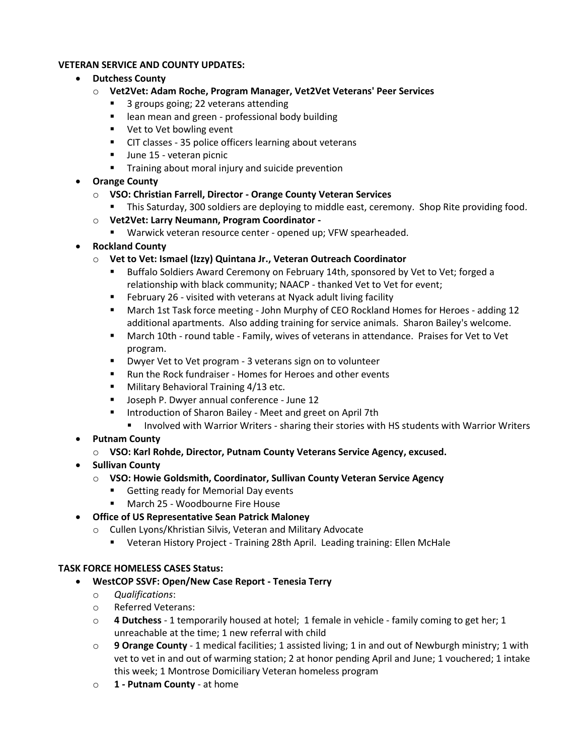## **VETERAN SERVICE AND COUNTY UPDATES:**

- **Dutchess County**
	- o **Vet2Vet: Adam Roche, Program Manager, Vet2Vet Veterans' Peer Services**
		- 3 groups going; 22 veterans attending
		- lean mean and green professional body building
		- Vet to Vet bowling event
		- CIT classes 35 police officers learning about veterans
		- June 15 veteran picnic
		- Training about moral injury and suicide prevention
- **Orange County**
	- o **VSO: Christian Farrell, Director - Orange County Veteran Services**
		- **This Saturday, 300 soldiers are deploying to middle east, ceremony. Shop Rite providing food.**
	- o **Vet2Vet: Larry Neumann, Program Coordinator -**
		- Warwick veteran resource center opened up; VFW spearheaded.
- **Rockland County**
	- o **Vet to Vet: Ismael (Izzy) Quintana Jr., Veteran Outreach Coordinator**
		- Buffalo Soldiers Award Ceremony on February 14th, sponsored by Vet to Vet; forged a relationship with black community; NAACP - thanked Vet to Vet for event;
		- February 26 visited with veterans at Nyack adult living facility
		- March 1st Task force meeting John Murphy of CEO Rockland Homes for Heroes adding 12 additional apartments. Also adding training for service animals. Sharon Bailey's welcome.
		- March 10th round table Family, wives of veterans in attendance. Praises for Vet to Vet program.
		- Dwyer Vet to Vet program 3 veterans sign on to volunteer
		- Run the Rock fundraiser Homes for Heroes and other events
		- Military Behavioral Training 4/13 etc.
		- Joseph P. Dwyer annual conference June 12
		- Introduction of Sharon Bailey Meet and greet on April 7th
			- **■** Involved with Warrior Writers sharing their stories with HS students with Warrior Writers
- **Putnam County**
	- o **VSO: Karl Rohde, Director, Putnam County Veterans Service Agency, excused.**
- **Sullivan County**
	- o **VSO: Howie Goldsmith, Coordinator, Sullivan County Veteran Service Agency**
		- Getting ready for Memorial Day events
		- March 25 Woodbourne Fire House

# • **Office of US Representative Sean Patrick Maloney**

- o Cullen Lyons/Khristian Silvis, Veteran and Military Advocate
	- Veteran History Project Training 28th April. Leading training: Ellen McHale

#### **TASK FORCE HOMELESS CASES Status:**

- **WestCOP SSVF: Open/New Case Report - Tenesia Terry**
	- o *Qualifications*:
	- o Referred Veterans:
	- o **4 Dutchess** 1 temporarily housed at hotel; 1 female in vehicle family coming to get her; 1 unreachable at the time; 1 new referral with child
	- o **9 Orange County** 1 medical facilities; 1 assisted living; 1 in and out of Newburgh ministry; 1 with vet to vet in and out of warming station; 2 at honor pending April and June; 1 vouchered; 1 intake this week; 1 Montrose Domiciliary Veteran homeless program
	- o **1 - Putnam County** at home